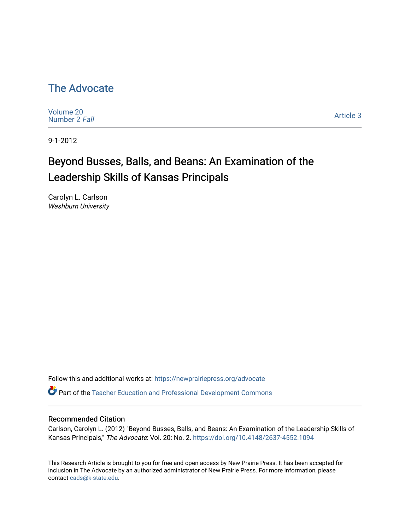# [The Advocate](https://newprairiepress.org/advocate)

[Volume 20](https://newprairiepress.org/advocate/vol20) [Number 2](https://newprairiepress.org/advocate/vol20/iss2) Fall

[Article 3](https://newprairiepress.org/advocate/vol20/iss2/3) 

9-1-2012

# Beyond Busses, Balls, and Beans: An Examination of the Leadership Skills of Kansas Principals

Carolyn L. Carlson Washburn University

Follow this and additional works at: [https://newprairiepress.org/advocate](https://newprairiepress.org/advocate?utm_source=newprairiepress.org%2Fadvocate%2Fvol20%2Fiss2%2F3&utm_medium=PDF&utm_campaign=PDFCoverPages) 

Part of the [Teacher Education and Professional Development Commons](http://network.bepress.com/hgg/discipline/803?utm_source=newprairiepress.org%2Fadvocate%2Fvol20%2Fiss2%2F3&utm_medium=PDF&utm_campaign=PDFCoverPages) 

### Recommended Citation

Carlson, Carolyn L. (2012) "Beyond Busses, Balls, and Beans: An Examination of the Leadership Skills of Kansas Principals," The Advocate: Vol. 20: No. 2.<https://doi.org/10.4148/2637-4552.1094>

This Research Article is brought to you for free and open access by New Prairie Press. It has been accepted for inclusion in The Advocate by an authorized administrator of New Prairie Press. For more information, please contact [cads@k-state.edu](mailto:cads@k-state.edu).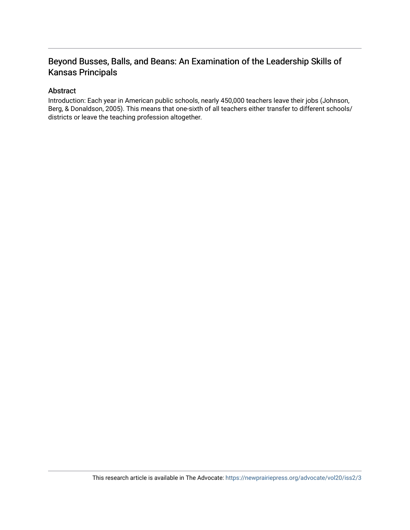# Beyond Busses, Balls, and Beans: An Examination of the Leadership Skills of Kansas Principals

## Abstract

Introduction: Each year in American public schools, nearly 450,000 teachers leave their jobs (Johnson, Berg, & Donaldson, 2005). This means that one-sixth of all teachers either transfer to different schools/ districts or leave the teaching profession altogether.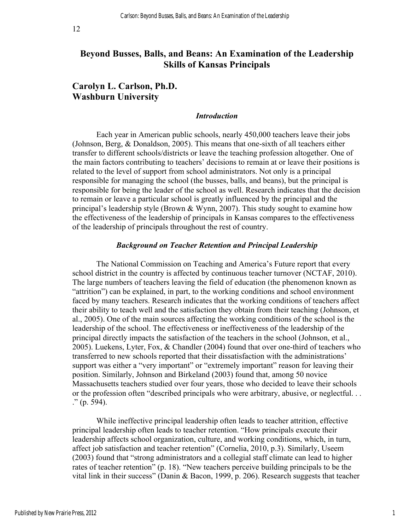# **Beyond Busses, Balls, and Beans: An Examination of the Leadership Skills of Kansas Principals**

# **Carolyn L. Carlson, Ph.D. Washburn University**

#### *Introduction*

Each year in American public schools, nearly 450,000 teachers leave their jobs (Johnson, Berg, & Donaldson, 2005). This means that one-sixth of all teachers either transfer to different schools/districts or leave the teaching profession altogether. One of the main factors contributing to teachers' decisions to remain at or leave their positions is related to the level of support from school administrators. Not only is a principal responsible for managing the school (the busses, balls, and beans), but the principal is responsible for being the leader of the school as well. Research indicates that the decision to remain or leave a particular school is greatly influenced by the principal and the principal's leadership style (Brown & Wynn, 2007). This study sought to examine how the effectiveness of the leadership of principals in Kansas compares to the effectiveness of the leadership of principals throughout the rest of country.

#### *Background on Teacher Retention and Principal Leadership*

The National Commission on Teaching and America's Future report that every school district in the country is affected by continuous teacher turnover (NCTAF, 2010). The large numbers of teachers leaving the field of education (the phenomenon known as "attrition") can be explained, in part, to the working conditions and school environment faced by many teachers. Research indicates that the working conditions of teachers affect their ability to teach well and the satisfaction they obtain from their teaching (Johnson, et al., 2005). One of the main sources affecting the working conditions of the school is the leadership of the school. The effectiveness or ineffectiveness of the leadership of the principal directly impacts the satisfaction of the teachers in the school (Johnson, et al., 2005). Luekens, Lyter, Fox, & Chandler (2004) found that over one-third of teachers who transferred to new schools reported that their dissatisfaction with the administrations' support was either a "very important" or "extremely important" reason for leaving their position. Similarly, Johnson and Birkeland (2003) found that, among 50 novice Massachusetts teachers studied over four years, those who decided to leave their schools or the profession often "described principals who were arbitrary, abusive, or neglectful. . . ." (p. 594).

While ineffective principal leadership often leads to teacher attrition, effective principal leadership often leads to teacher retention. "How principals execute their leadership affects school organization, culture, and working conditions, which, in turn, affect job satisfaction and teacher retention" (Cornelia, 2010, p.3). Similarly, Useem (2003) found that "strong administrators and a collegial staff climate can lead to higher rates of teacher retention" (p. 18). "New teachers perceive building principals to be the vital link in their success" (Danin & Bacon, 1999, p. 206). Research suggests that teacher

1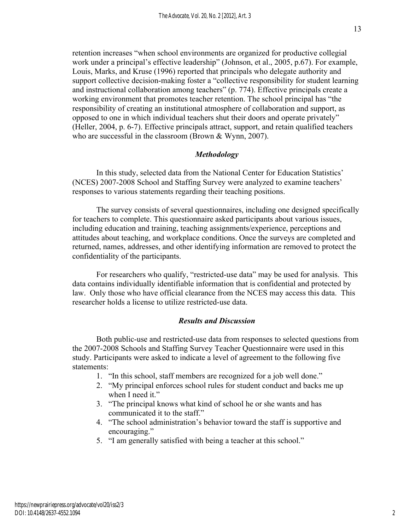retention increases "when school environments are organized for productive collegial work under a principal's effective leadership" (Johnson, et al., 2005, p.67). For example, Louis, Marks, and Kruse (1996) reported that principals who delegate authority and support collective decision-making foster a "collective responsibility for student learning and instructional collaboration among teachers" (p. 774). Effective principals create a working environment that promotes teacher retention. The school principal has "the responsibility of creating an institutional atmosphere of collaboration and support, as opposed to one in which individual teachers shut their doors and operate privately" (Heller, 2004, p. 6-7). Effective principals attract, support, and retain qualified teachers who are successful in the classroom (Brown & Wynn, 2007).

## *Methodology*

In this study, selected data from the National Center for Education Statistics' (NCES) 2007-2008 School and Staffing Survey were analyzed to examine teachers' responses to various statements regarding their teaching positions.

The survey consists of several questionnaires, including one designed specifically for teachers to complete. This questionnaire asked participants about various issues, including education and training, teaching assignments/experience, perceptions and attitudes about teaching, and workplace conditions. Once the surveys are completed and returned, names, addresses, and other identifying information are removed to protect the confidentiality of the participants.

For researchers who qualify, "restricted-use data" may be used for analysis. This data contains individually identifiable information that is confidential and protected by law. Only those who have official clearance from the NCES may access this data. This researcher holds a license to utilize restricted-use data.

## *Results and Discussion*

Both public-use and restricted-use data from responses to selected questions from the 2007-2008 Schools and Staffing Survey Teacher Questionnaire were used in this study. Participants were asked to indicate a level of agreement to the following five statements:

- 1. "In this school, staff members are recognized for a job well done."
- 2. "My principal enforces school rules for student conduct and backs me up when I need it."
- 3. "The principal knows what kind of school he or she wants and has communicated it to the staff."
- 4. "The school administration's behavior toward the staff is supportive and encouraging."
- 5. "I am generally satisfied with being a teacher at this school."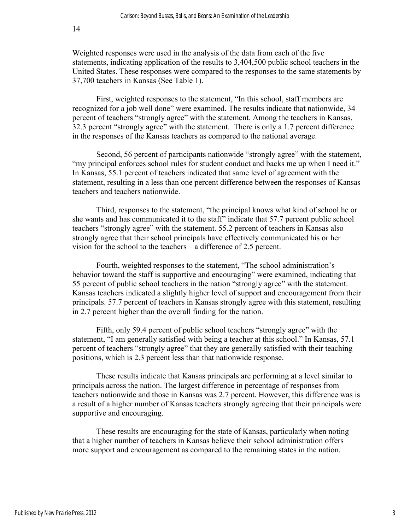14

Weighted responses were used in the analysis of the data from each of the five statements, indicating application of the results to 3,404,500 public school teachers in the United States. These responses were compared to the responses to the same statements by 37,700 teachers in Kansas (See Table 1).

First, weighted responses to the statement, "In this school, staff members are recognized for a job well done" were examined. The results indicate that nationwide, 34 percent of teachers "strongly agree" with the statement. Among the teachers in Kansas, 32.3 percent "strongly agree" with the statement. There is only a 1.7 percent difference in the responses of the Kansas teachers as compared to the national average.

Second, 56 percent of participants nationwide "strongly agree" with the statement, "my principal enforces school rules for student conduct and backs me up when I need it." In Kansas, 55.1 percent of teachers indicated that same level of agreement with the statement, resulting in a less than one percent difference between the responses of Kansas teachers and teachers nationwide.

Third, responses to the statement, "the principal knows what kind of school he or she wants and has communicated it to the staff" indicate that 57.7 percent public school teachers "strongly agree" with the statement. 55.2 percent of teachers in Kansas also strongly agree that their school principals have effectively communicated his or her vision for the school to the teachers – a difference of 2.5 percent.

Fourth, weighted responses to the statement, "The school administration's behavior toward the staff is supportive and encouraging" were examined, indicating that 55 percent of public school teachers in the nation "strongly agree" with the statement. Kansas teachers indicated a slightly higher level of support and encouragement from their principals. 57.7 percent of teachers in Kansas strongly agree with this statement, resulting in 2.7 percent higher than the overall finding for the nation.

Fifth, only 59.4 percent of public school teachers "strongly agree" with the statement, "I am generally satisfied with being a teacher at this school." In Kansas, 57.1 percent of teachers "strongly agree" that they are generally satisfied with their teaching positions, which is 2.3 percent less than that nationwide response.

These results indicate that Kansas principals are performing at a level similar to principals across the nation. The largest difference in percentage of responses from teachers nationwide and those in Kansas was 2.7 percent. However, this difference was is a result of a higher number of Kansas teachers strongly agreeing that their principals were supportive and encouraging.

These results are encouraging for the state of Kansas, particularly when noting that a higher number of teachers in Kansas believe their school administration offers more support and encouragement as compared to the remaining states in the nation.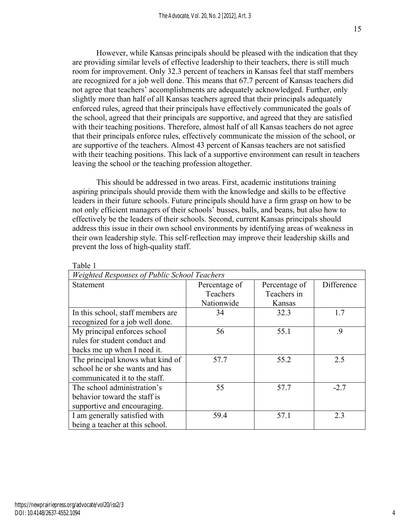However, while Kansas principals should be pleased with the indication that they are providing similar levels of effective leadership to their teachers, there is still much room for improvement. Only 32.3 percent of teachers in Kansas feel that staff members are recognized for a job well done. This means that 67.7 percent of Kansas teachers did not agree that teachers' accomplishments are adequately acknowledged. Further, only slightly more than half of all Kansas teachers agreed that their principals adequately enforced rules, agreed that their principals have effectively communicated the goals of the school, agreed that their principals are supportive, and agreed that they are satisfied with their teaching positions. Therefore, almost half of all Kansas teachers do not agree that their principals enforce rules, effectively communicate the mission of the school, or are supportive of the teachers. Almost 43 percent of Kansas teachers are not satisfied with their teaching positions. This lack of a supportive environment can result in teachers leaving the school or the teaching profession altogether.

This should be addressed in two areas. First, academic institutions training aspiring principals should provide them with the knowledge and skills to be effective leaders in their future schools. Future principals should have a firm grasp on how to be not only efficient managers of their schools' busses, balls, and beans, but also how to effectively be the leaders of their schools. Second, current Kansas principals should address this issue in their own school environments by identifying areas of weakness in their own leadership style. This self-reflection may improve their leadership skills and prevent the loss of high-quality staff.

| Weighted Responses of Public School Teachers |               |               |            |
|----------------------------------------------|---------------|---------------|------------|
| Statement                                    | Percentage of | Percentage of | Difference |
|                                              | Teachers      | Teachers in   |            |
|                                              | Nationwide    | Kansas        |            |
| In this school, staff members are            | 34            | 32.3          | 1.7        |
| recognized for a job well done.              |               |               |            |
| My principal enforces school                 | 56            | 55.1          | .9         |
| rules for student conduct and                |               |               |            |
| backs me up when I need it.                  |               |               |            |
| The principal knows what kind of             | 57.7          | 55.2          | 2.5        |
| school he or she wants and has               |               |               |            |
| communicated it to the staff.                |               |               |            |
| The school administration's                  | 55            | 57.7          | $-2.7$     |
| behavior toward the staff is                 |               |               |            |
| supportive and encouraging.                  |               |               |            |
| I am generally satisfied with                | 59.4          | 57.1          | 2.3        |
| being a teacher at this school.              |               |               |            |

Table 1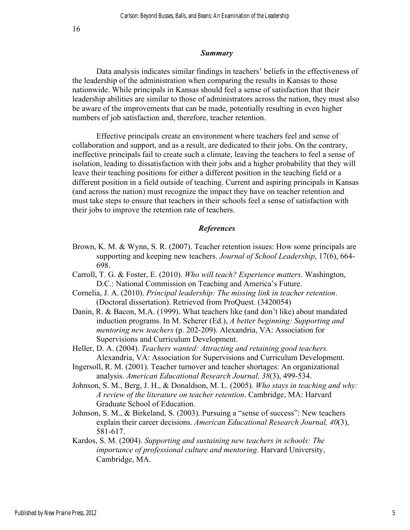#### *Summary*

Data analysis indicates similar findings in teachers' beliefs in the effectiveness of the leadership of the administration when comparing the results in Kansas to those nationwide. While principals in Kansas should feel a sense of satisfaction that their leadership abilities are similar to those of administrators across the nation, they must also be aware of the improvements that can be made, potentially resulting in even higher numbers of job satisfaction and, therefore, teacher retention.

Effective principals create an environment where teachers feel and sense of collaboration and support, and as a result, are dedicated to their jobs. On the contrary, ineffective principals fail to create such a climate, leaving the teachers to feel a sense of isolation, leading to dissatisfaction with their jobs and a higher probability that they will leave their teaching positions for either a different position in the teaching field or a different position in a field outside of teaching. Current and aspiring principals in Kansas (and across the nation) must recognize the impact they have on teacher retention and must take steps to ensure that teachers in their schools feel a sense of satisfaction with their jobs to improve the retention rate of teachers.

### *References*

- Brown, K. M. & Wynn, S. R. (2007). Teacher retention issues: How some principals are supporting and keeping new teachers. *Journal of School Leadership*, 17(6), 664- 698.
- Carroll, T. G. & Foster, E. (2010). *Who will teach? Experience matters.* Washington, D.C.: National Commission on Teaching and America's Future.
- Cornelia, J. A. (2010). *Principal leadership: The missing link in teacher retention*. (Doctoral dissertation). Retrieved from ProQuest. (3420054)
- Danin, R. & Bacon, M.A. (1999). What teachers like (and don't like) about mandated induction programs. In M. Scherer (Ed.), *A better beginning: Supporting and mentoring new teachers* (p. 202-209). Alexandria, VA: Association for Supervisions and Curriculum Development.
- Heller, D. A. (2004). *Teachers wanted: Attracting and retaining good teachers.* Alexandria, VA: Association for Supervisions and Curriculum Development.
- Ingersoll, R. M. (2001). Teacher turnover and teacher shortages: An organizational analysis. *American Educational Research Journal, 38*(3), 499-534.
- Johnson, S. M., Berg, J. H., & Donaldson, M. L. (2005). *Who stays in teaching and why: A review of the literature on teacher retention*. Cambridge, MA: Harvard Graduate School of Education.
- Johnson, S. M., & Birkeland, S. (2003). Pursuing a "sense of success": New teachers explain their career decisions. *American Educational Research Journal, 40*(3), 581-617.
- Kardos, S. M. (2004). *Supporting and sustaining new teachers in schools: The importance of professional culture and mentoring.* Harvard University, Cambridge, MA.